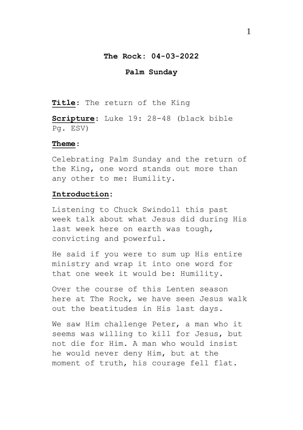#### **The Rock: 04-03-2022**

## **Palm Sunday**

**Title**: The return of the King

**Scripture**: Luke 19: 28-48 (black bible Pg. ESV)

## **Theme**:

Celebrating Palm Sunday and the return of the King, one word stands out more than any other to me: Humility.

#### **Introduction:**

Listening to Chuck Swindoll this past week talk about what Jesus did during His last week here on earth was tough, convicting and powerful.

He said if you were to sum up His entire ministry and wrap it into one word for that one week it would be: Humility.

Over the course of this Lenten season here at The Rock, we have seen Jesus walk out the beatitudes in His last days.

We saw Him challenge Peter, a man who it seems was willing to kill for Jesus, but not die for Him. A man who would insist he would never deny Him, but at the moment of truth, his courage fell flat.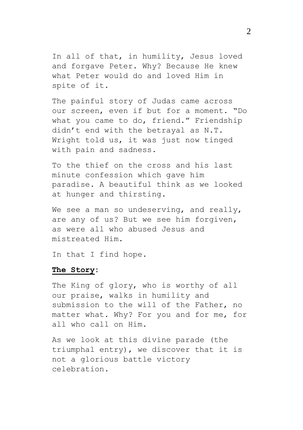In all of that, in humility, Jesus loved and forgave Peter. Why? Because He knew what Peter would do and loved Him in spite of it.

The painful story of Judas came across our screen, even if but for a moment. "Do what you came to do, friend." Friendship didn't end with the betrayal as N.T. Wright told us, it was just now tinged with pain and sadness.

To the thief on the cross and his last minute confession which gave him paradise. A beautiful think as we looked at hunger and thirsting.

We see a man so undeserving, and really, are any of us? But we see him forgiven, as were all who abused Jesus and mistreated Him.

In that I find hope.

#### **The Story:**

The King of glory, who is worthy of all our praise, walks in humility and submission to the will of the Father, no matter what. Why? For you and for me, for all who call on Him.

As we look at this divine parade (the triumphal entry), we discover that it is not a glorious battle victory celebration.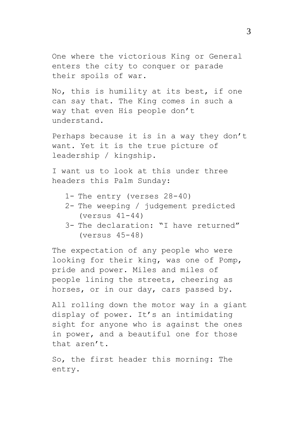One where the victorious King or General enters the city to conquer or parade their spoils of war.

No, this is humility at its best, if one can say that. The King comes in such a way that even His people don't understand.

Perhaps because it is in a way they don't want. Yet it is the true picture of leadership / kingship.

I want us to look at this under three headers this Palm Sunday:

- 1- The entry (verses 28-40)
- 2- The weeping / judgement predicted (versus 41-44)
- 3- The declaration: "I have returned" (versus 45-48)

The expectation of any people who were looking for their king, was one of Pomp, pride and power. Miles and miles of people lining the streets, cheering as horses, or in our day, cars passed by.

All rolling down the motor way in a giant display of power. It's an intimidating sight for anyone who is against the ones in power, and a beautiful one for those that aren't.

So, the first header this morning: The entry.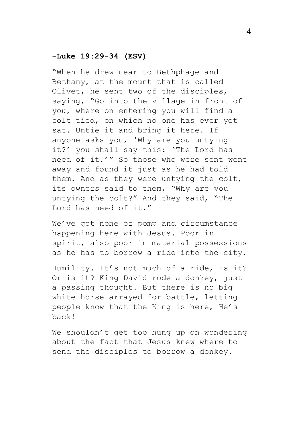## **-Luke 19:29-34 (ESV)**

"When he drew near to Bethphage and Bethany, at the mount that is called Olivet, he sent two of the disciples, saying, "Go into the village in front of you, where on entering you will find a colt tied, on which no one has ever yet sat. Untie it and bring it here. If anyone asks you, 'Why are you untying it?' you shall say this: 'The Lord has need of it.'" So those who were sent went away and found it just as he had told them. And as they were untying the colt, its owners said to them, "Why are you untying the colt?" And they said, "The Lord has need of it."

We've got none of pomp and circumstance happening here with Jesus. Poor in spirit, also poor in material possessions as he has to borrow a ride into the city.

Humility. It's not much of a ride, is it? Or is it? King David rode a donkey, just a passing thought. But there is no big white horse arrayed for battle, letting people know that the King is here, He's back!

We shouldn't get too hung up on wondering about the fact that Jesus knew where to send the disciples to borrow a donkey.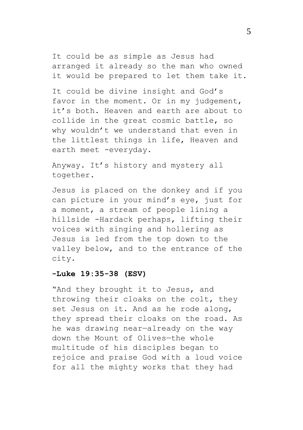It could be as simple as Jesus had arranged it already so the man who owned it would be prepared to let them take it.

It could be divine insight and God's favor in the moment. Or in my judgement, it's both. Heaven and earth are about to collide in the great cosmic battle, so why wouldn't we understand that even in the littlest things in life, Heaven and earth meet -everyday.

Anyway. It's history and mystery all together.

Jesus is placed on the donkey and if you can picture in your mind's eye, just for a moment, a stream of people lining a hillside -Hardack perhaps, lifting their voices with singing and hollering as Jesus is led from the top down to the valley below, and to the entrance of the city.

## **-Luke 19:35-38 (ESV)**

"And they brought it to Jesus, and throwing their cloaks on the colt, they set Jesus on it. And as he rode along, they spread their cloaks on the road. As he was drawing near—already on the way down the Mount of Olives—the whole multitude of his disciples began to rejoice and praise God with a loud voice for all the mighty works that they had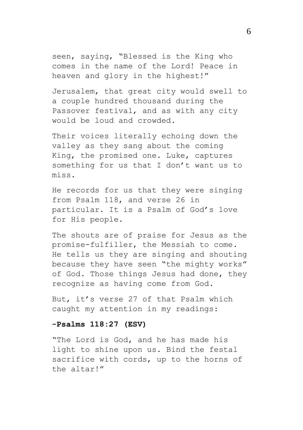seen, saying, "Blessed is the King who comes in the name of the Lord! Peace in heaven and glory in the highest!"

Jerusalem, that great city would swell to a couple hundred thousand during the Passover festival, and as with any city would be loud and crowded.

Their voices literally echoing down the valley as they sang about the coming King, the promised one. Luke, captures something for us that I don't want us to miss.

He records for us that they were singing from Psalm 118, and verse 26 in particular. It is a Psalm of God's love for His people.

The shouts are of praise for Jesus as the promise-fulfiller, the Messiah to come. He tells us they are singing and shouting because they have seen "the mighty works" of God. Those things Jesus had done, they recognize as having come from God.

But, it's verse 27 of that Psalm which caught my attention in my readings:

#### **-Psalms 118:27 (ESV)**

"The Lord is God, and he has made his light to shine upon us. Bind the festal sacrifice with cords, up to the horns of the altar!"

6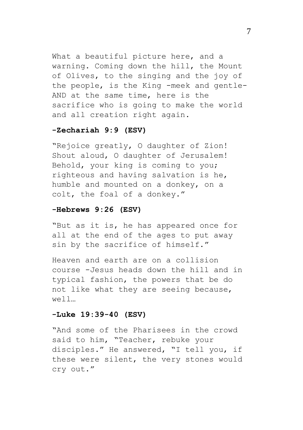What a beautiful picture here, and a warning. Coming down the hill, the Mount of Olives, to the singing and the joy of the people, is the King -meek and gentle-AND at the same time, here is the sacrifice who is going to make the world and all creation right again.

# **-Zechariah 9:9 (ESV)**

"Rejoice greatly, O daughter of Zion! Shout aloud, O daughter of Jerusalem! Behold, your king is coming to you; righteous and having salvation is he, humble and mounted on a donkey, on a colt, the foal of a donkey."

# **-Hebrews 9:26 (ESV)**

"But as it is, he has appeared once for all at the end of the ages to put away sin by the sacrifice of himself."

Heaven and earth are on a collision course -Jesus heads down the hill and in typical fashion, the powers that be do not like what they are seeing because, well…

# **-Luke 19:39-40 (ESV)**

"And some of the Pharisees in the crowd said to him, "Teacher, rebuke your disciples." He answered, "I tell you, if these were silent, the very stones would cry out."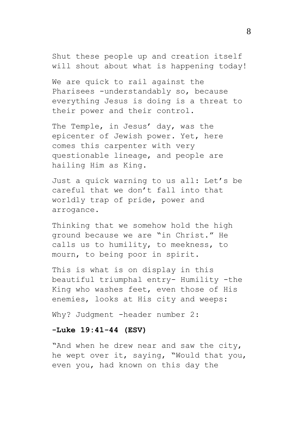Shut these people up and creation itself will shout about what is happening today!

We are quick to rail against the Pharisees -understandably so, because everything Jesus is doing is a threat to their power and their control.

The Temple, in Jesus' day, was the epicenter of Jewish power. Yet, here comes this carpenter with very questionable lineage, and people are hailing Him as King.

Just a quick warning to us all: Let's be careful that we don't fall into that worldly trap of pride, power and arrogance.

Thinking that we somehow hold the high ground because we are "in Christ." He calls us to humility, to meekness, to mourn, to being poor in spirit.

This is what is on display in this beautiful triumphal entry- Humility -the King who washes feet, even those of His enemies, looks at His city and weeps:

Why? Judgment -header number 2:

## **-Luke 19:41-44 (ESV)**

"And when he drew near and saw the city, he wept over it, saying, "Would that you, even you, had known on this day the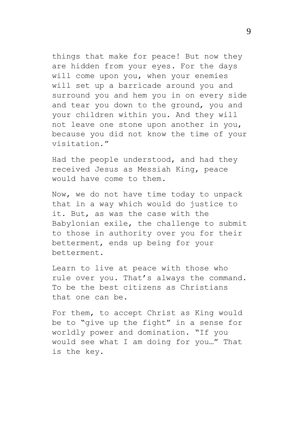things that make for peace! But now they are hidden from your eyes. For the days will come upon you, when your enemies will set up a barricade around you and surround you and hem you in on every side and tear you down to the ground, you and your children within you. And they will not leave one stone upon another in you, because you did not know the time of your visitation."

Had the people understood, and had they received Jesus as Messiah King, peace would have come to them.

Now, we do not have time today to unpack that in a way which would do justice to it. But, as was the case with the Babylonian exile, the challenge to submit to those in authority over you for their betterment, ends up being for your betterment.

Learn to live at peace with those who rule over you. That's always the command. To be the best citizens as Christians that one can be.

For them, to accept Christ as King would be to "give up the fight" in a sense for worldly power and domination. "If you would see what I am doing for you…" That is the key.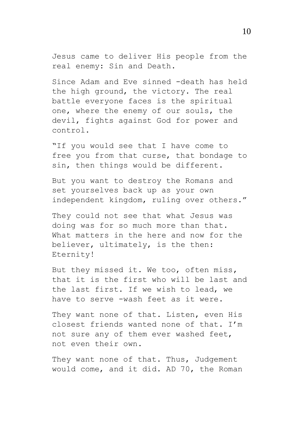Jesus came to deliver His people from the real enemy: Sin and Death.

Since Adam and Eve sinned -death has held the high ground, the victory. The real battle everyone faces is the spiritual one, where the enemy of our souls, the devil, fights against God for power and control.

"If you would see that I have come to free you from that curse, that bondage to sin, then things would be different.

But you want to destroy the Romans and set yourselves back up as your own independent kingdom, ruling over others."

They could not see that what Jesus was doing was for so much more than that. What matters in the here and now for the believer, ultimately, is the then: Eternity!

But they missed it. We too, often miss, that it is the first who will be last and the last first. If we wish to lead, we have to serve -wash feet as it were.

They want none of that. Listen, even His closest friends wanted none of that. I'm not sure any of them ever washed feet, not even their own.

They want none of that. Thus, Judgement would come, and it did. AD 70, the Roman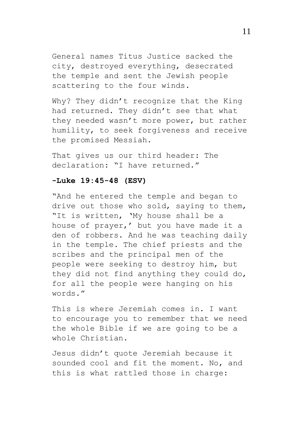General names Titus Justice sacked the city, destroyed everything, desecrated the temple and sent the Jewish people scattering to the four winds.

Why? They didn't recognize that the King had returned. They didn't see that what they needed wasn't more power, but rather humility, to seek forgiveness and receive the promised Messiah.

That gives us our third header: The declaration: "I have returned."

### **-Luke 19:45-48 (ESV)**

"And he entered the temple and began to drive out those who sold, saying to them, "It is written, 'My house shall be a house of prayer,' but you have made it a den of robbers. And he was teaching daily in the temple. The chief priests and the scribes and the principal men of the people were seeking to destroy him, but they did not find anything they could do, for all the people were hanging on his words."

This is where Jeremiah comes in. I want to encourage you to remember that we need the whole Bible if we are going to be a whole Christian.

Jesus didn't quote Jeremiah because it sounded cool and fit the moment. No, and this is what rattled those in charge: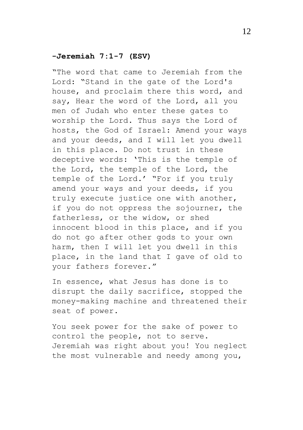## **-Jeremiah 7:1-7 (ESV)**

"The word that came to Jeremiah from the Lord: "Stand in the gate of the Lord's house, and proclaim there this word, and say, Hear the word of the Lord, all you men of Judah who enter these gates to worship the Lord. Thus says the Lord of hosts, the God of Israel: Amend your ways and your deeds, and I will let you dwell in this place. Do not trust in these deceptive words: 'This is the temple of the Lord, the temple of the Lord, the temple of the Lord.' "For if you truly amend your ways and your deeds, if you truly execute justice one with another, if you do not oppress the sojourner, the fatherless, or the widow, or shed innocent blood in this place, and if you do not go after other gods to your own harm, then I will let you dwell in this place, in the land that I gave of old to your fathers forever."

In essence, what Jesus has done is to disrupt the daily sacrifice, stopped the money-making machine and threatened their seat of power.

You seek power for the sake of power to control the people, not to serve. Jeremiah was right about you! You neglect the most vulnerable and needy among you,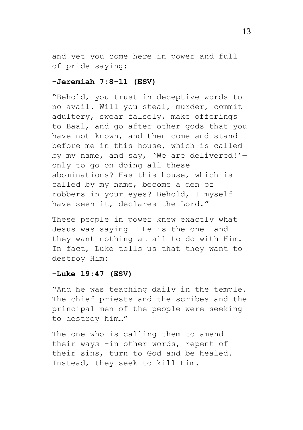and yet you come here in power and full of pride saying:

## **-Jeremiah 7:8-11 (ESV)**

"Behold, you trust in deceptive words to no avail. Will you steal, murder, commit adultery, swear falsely, make offerings to Baal, and go after other gods that you have not known, and then come and stand before me in this house, which is called by my name, and say, 'We are delivered!' only to go on doing all these abominations? Has this house, which is called by my name, become a den of robbers in your eyes? Behold, I myself have seen it, declares the Lord."

These people in power knew exactly what Jesus was saying – He is the one- and they want nothing at all to do with Him. In fact, Luke tells us that they want to destroy Him:

# **-Luke 19:47 (ESV)**

"And he was teaching daily in the temple. The chief priests and the scribes and the principal men of the people were seeking to destroy him…"

The one who is calling them to amend their ways -in other words, repent of their sins, turn to God and be healed. Instead, they seek to kill Him.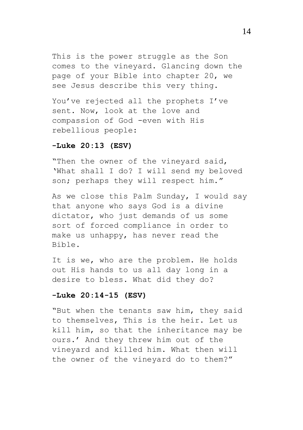This is the power struggle as the Son comes to the vineyard. Glancing down the page of your Bible into chapter 20, we see Jesus describe this very thing.

You've rejected all the prophets I've sent. Now, look at the love and compassion of God -even with His rebellious people:

#### **-Luke 20:13 (ESV)**

"Then the owner of the vineyard said, 'What shall I do? I will send my beloved son; perhaps they will respect him."

As we close this Palm Sunday, I would say that anyone who says God is a divine dictator, who just demands of us some sort of forced compliance in order to make us unhappy, has never read the Bible.

It is we, who are the problem. He holds out His hands to us all day long in a desire to bless. What did they do?

## **-Luke 20:14-15 (ESV)**

"But when the tenants saw him, they said to themselves, This is the heir. Let us kill him, so that the inheritance may be ours.' And they threw him out of the vineyard and killed him. What then will the owner of the vineyard do to them?"